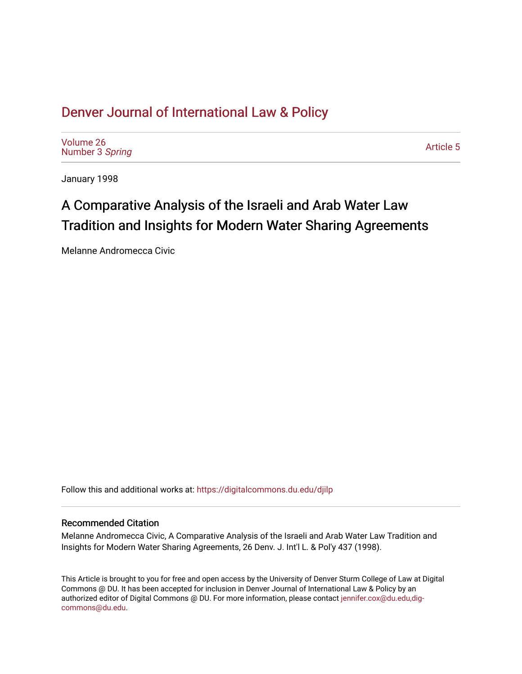## [Denver Journal of International Law & Policy](https://digitalcommons.du.edu/djilp)

[Volume 26](https://digitalcommons.du.edu/djilp/vol26) [Number 3](https://digitalcommons.du.edu/djilp/vol26/iss3) Spring

[Article 5](https://digitalcommons.du.edu/djilp/vol26/iss3/5) 

January 1998

# A Comparative Analysis of the Israeli and Arab Water Law Tradition and Insights for Modern Water Sharing Agreements

Melanne Andromecca Civic

Follow this and additional works at: [https://digitalcommons.du.edu/djilp](https://digitalcommons.du.edu/djilp?utm_source=digitalcommons.du.edu%2Fdjilp%2Fvol26%2Fiss3%2F5&utm_medium=PDF&utm_campaign=PDFCoverPages) 

#### Recommended Citation

Melanne Andromecca Civic, A Comparative Analysis of the Israeli and Arab Water Law Tradition and Insights for Modern Water Sharing Agreements, 26 Denv. J. Int'l L. & Pol'y 437 (1998).

This Article is brought to you for free and open access by the University of Denver Sturm College of Law at Digital Commons @ DU. It has been accepted for inclusion in Denver Journal of International Law & Policy by an authorized editor of Digital Commons @ DU. For more information, please contact [jennifer.cox@du.edu,dig](mailto:jennifer.cox@du.edu,dig-commons@du.edu)[commons@du.edu.](mailto:jennifer.cox@du.edu,dig-commons@du.edu)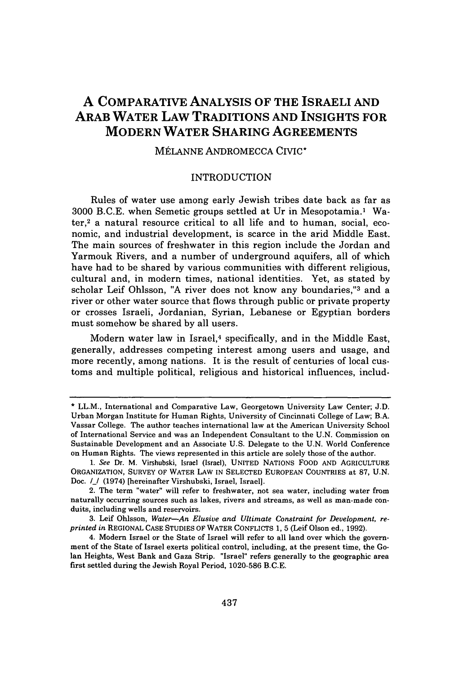### **A COMPARATIVE ANALYSIS OF THE ISRAELI AND ARAB WATER LAW TRADITIONS AND INSIGHTS FOR MODERN WATER SHARING AGREEMENTS**

#### **MÉLANNE ANDROMECCA CIVIC\***

#### INTRODUCTION

Rules of water use among early Jewish tribes date back as far as 3000 B.C.E. when Semetic groups settled at Ur in Mesopotamia.' Wa $ter<sup>2</sup>$  a natural resource critical to all life and to human, social, economic, and industrial development, is scarce in the arid Middle East. The main sources of freshwater in this region include the Jordan and Yarmouk Rivers, and a number of underground aquifers, all of which have had to be shared by various communities with different religious, cultural and, in modern times, national identities. Yet, as stated by scholar Leif Ohlsson, "A river does not know any boundaries,"<sup>3</sup> and a river or other water source that flows through public or private property or crosses Israeli, Jordanian, Syrian, Lebanese or Egyptian borders must somehow be shared by all users.

Modern water law in Israel,<sup>4</sup> specifically, and in the Middle East, generally, addresses competing interest among users and usage, and more recently, among nations. It is the result of centuries of local customs and multiple political, religious and historical influences, includ-

<sup>\*</sup> LL.M., International and Comparative Law, Georgetown University Law Center; J.D. Urban Morgan Institute for Human Rights, University of Cincinnati College of Law; B.A. Vassar College. The author teaches international law at the American University School of International Service and was an Independent Consultant to the U.N. Commission on Sustainable Development and an Associate U.S. Delegate to the U.N. World Conference on Human Rights. The views represented in this article are solely those of the author.

*<sup>1.</sup> See* Dr. M. Virshubski, Israel (Israel), UNITED NATIONS FOOD AND AGRICULTURE ORGANIZATION, SURVEY OF WATER LAW IN SELECTED EUROPEAN COUNTRIES at 87, U.N. Doc. **/\_/** (1974) [hereinafter Virshubski, Israel, Israel].

<sup>2.</sup> The term "water" will refer to freshwater, not sea water, including water from naturally occurring sources such as lakes, rivers and streams, as well as man-made conduits, including wells and reservoirs.

<sup>3.</sup> Leif Ohlsson, *Water-An Elusive and Ultimate Constraint for Development, reprinted in* REGIONAL CASE STUDIES OF WATER CONFLICTS **1,** 5 (Leif Olson ed., 1992).

<sup>4.</sup> Modern Israel or the State of Israel will refer to all land over which the government of the State of Israel exerts political control, including, at the present time, the Golan Heights, West Bank and Gaza Strip. "Israel" refers generally to the geographic area first settled during the Jewish Royal Period, 1020-586 B.C.E.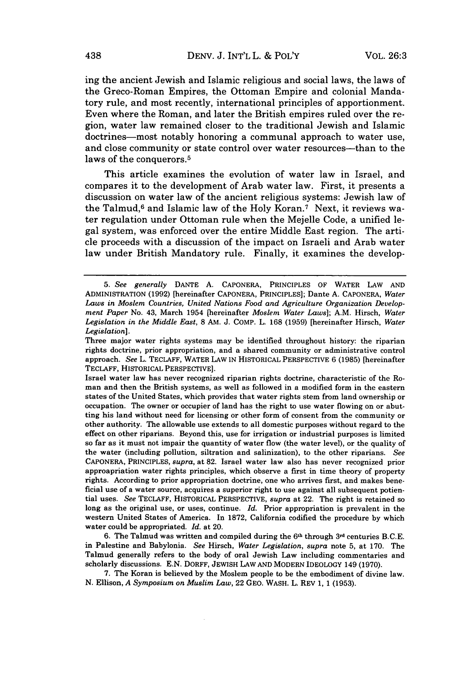ing the ancient Jewish and Islamic religious and social laws, the laws of the Greco-Roman Empires, the Ottoman Empire and colonial Mandatory rule, and most recently, international principles of apportionment. Even where the Roman, and later the British empires ruled over the region, water law remained closer to the traditional Jewish and Islamic doctrines—most notably honoring a communal approach to water use, and close community or state control over water resources-than to the laws of the conquerors.<sup>5</sup>

This article examines the evolution of water law in Israel, and compares it to the development of Arab water law. First, it presents a discussion on water law of the ancient religious systems: Jewish law of the Talmud,<sup>6</sup> and Islamic law of the Holy Koran.<sup>7</sup> Next, it reviews water regulation under Ottoman rule when the Mejelle Code, a unified legal system, was enforced over the entire Middle East region. The article proceeds with a discussion of the impact on Israeli and Arab water law under British Mandatory rule. Finally, it examines the develop-

6. The Talmud was written and compiled during the  $6<sup>th</sup>$  through  $3<sup>rd</sup>$  centuries B.C.E. in Palestine and Babylonia. *See* Hirsch, *Water Legislation, supra* note 5, at 170. The Talmud generally refers to the body of oral Jewish Law including commentaries and scholarly discussions. E.N. DORFF, JEWISH LAW AND MODERN IDEOLOGY 149 (1970).

7. The Koran is believed by the Moslem people to be the embodiment of divine law. N. Ellison, *A Symposium on Muslim Law,* 22 GEO. WASH. L. REV 1, 1 (1953).

*<sup>5.</sup> See generally* DANTE A. CAPONERA, PRINCIPLES OF WATER LAW AND ADMINISTRATION (1992) [hereinafter CAPONERA, PRINCIPLES]; Dante A. CAPONERA, *Water Laws in Moslem Countries, United Nations Food and Agriculture Organization Development Paper* No. 43, March 1954 [hereinafter *Moslem Water Laws];* A.M. Hirsch, *Water Legislation in the Middle East,* 8 AM. J. COMP. L. 168 (1959) [hereinafter Hirsch, *Water Legislation].*

Three major water rights systems may be identified throughout history: the riparian rights doctrine, prior appropriation, and a shared community or administrative control approach. *See* L. TECLAFF, WATER LAW IN HISTORICAL PERSPECTIVE 6 (1985) [hereinafter TECLAFF, HISTORICAL PERSPECTIVE].

Israel water law has never recognized riparian rights doctrine, characteristic of the Roman and then the British systems, as well as followed in a modified form in the eastern states of the United States, which provides that water rights stem from land ownership or occupation. The owner or occupier of land has the right to use water flowing on or abutting his land without need for licensing or other form of consent from the community or other authority. The allowable use extends to all domestic purposes without regard to the effect on other riparians. Beyond this, use for irrigation or industrial purposes is limited so far as it must not impair the quantity of water flow (the water level), or the quality of the water (including pollution, siltration and salinization), to the other riparians. *See* CAPONERA, PRINCIPLES, *supra,* at 82. Israel water law also has never recognized prior approapriation water rights principles, which observe a first in time theory of property rights. According to prior appropriation doctrine, one who arrives first, and makes beneficial use of a water source, acquires a superior right to use against all subsequent potiential uses. *See* TECLAFF, HISTORICAL PERSPECTIVE, *supra* at 22. The right is retained so long as the original use, or uses, continue. *Id.* Prior appropriation is prevalent in the western United States of America. In 1872, California codified the procedure by which water could be appropriated. *Id.* at 20.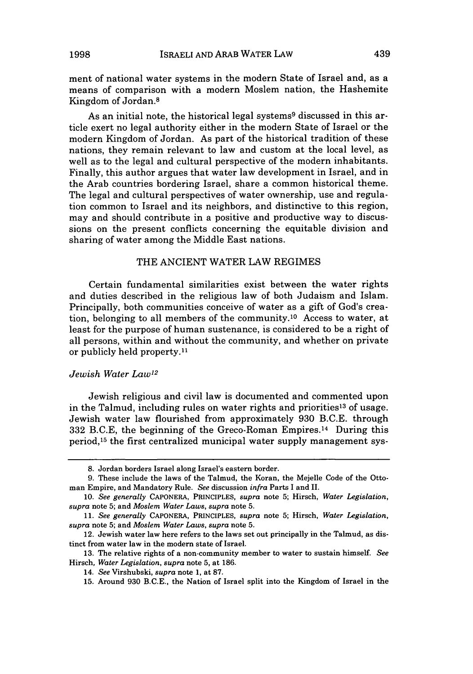ment of national water systems in the modern State of Israel and, as a means of comparison with a modern Moslem nation, the Hashemite Kingdom of Jordan.8

As an initial note, the historical legal systems<sup>9</sup> discussed in this article exert no legal authority either in the modern State of Israel or the modern Kingdom of Jordan. As part of the historical tradition of these nations, they remain relevant to law and custom at the local level, as well as to the legal and cultural perspective of the modern inhabitants. Finally, this author argues that water law development in Israel, and in the Arab countries bordering Israel, share a common historical theme. The legal and cultural perspectives of water ownership, use and regulation common to Israel and its neighbors, and distinctive to this region, may and should contribute in a positive and productive way to discussions on the present conflicts concerning the equitable division and sharing of water among the Middle East nations.

#### THE ANCIENT WATER LAW REGIMES

Certain fundamental similarities exist between the water rights and duties described in the religious law of both Judaism and Islam. Principally, both communities conceive of water as a gift of God's creation, belonging to all members of the community. 10 Access to water, at least for the purpose of human sustenance, is considered to be a right of all persons, within and without the community, and whether on private or publicly held property.<sup>11</sup>

#### *Jewish Water Law12*

Jewish religious and civil law is documented and commented upon in the Talmud, including rules on water rights and priorities<sup>13</sup> of usage. Jewish water law flourished from approximately 930 B.C.E. through 332 B.C.E, the beginning of the Greco-Roman Empires. 14 During this period,<sup>15</sup> the first centralized municipal water supply management sys-

<sup>8.</sup> Jordan borders Israel along Israel's eastern border.

<sup>9.</sup> These include the laws of the Talmud, the Koran, the Mejelle Code of the Ottoman Empire, and Mandatory Rule. *See* discussion *infra* Parts I and II.

<sup>10.</sup> *See generally* CAPONERA, PRINCIPLES, *supra* note 5; Hirsch, *Water Legislation, supra* note 5; and *Moslem Water Laws, supra* note 5.

<sup>11.</sup> *See generally* CAPONERA, PRINCIPLES, *supra* note 5; Hirsch, *Water Legislation, supra* note 5; and *Moslem Water Laws, supra* note 5.

<sup>12.</sup> Jewish water law here refers to the laws set out principally in the Talmud, as distinct from water law in the modern state of Israel.

<sup>13.</sup> The relative rights of a non-community member to water to sustain himself. *See* Hirsch, *Water Legislation, supra* note 5, at 186.

<sup>14.</sup> *See* Virshubski, *supra* note 1, at 87.

<sup>15.</sup> Around 930 B.C.E., the Nation of Israel split into the Kingdom of Israel in the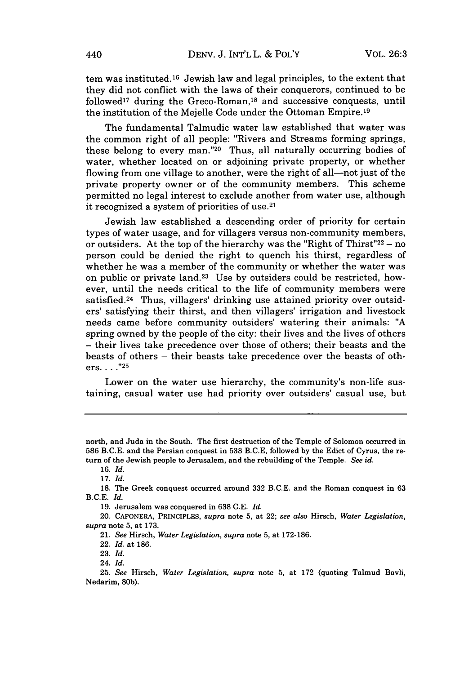tem was instituted. 16 Jewish law and legal principles, to the extent that they did not conflict with the laws of their conquerors, continued to be followed<sup>17</sup> during the Greco-Roman,<sup>18</sup> and successive conquests, until the institution of the Mejelle Code under the Ottoman Empire. <sup>19</sup>

The fundamental Talmudic water law established that water was the common right of all people: "Rivers and Streams forming springs, these belong to every man."<sup>20</sup> Thus, all naturally occurring bodies of water, whether located on or adjoining private property, or whether flowing from one village to another, were the right of all—not just of the private property owner or of the community members. This scheme permitted no legal interest to exclude another from water use, although it recognized a system of priorities of use.2'

Jewish law established a descending order of priority for certain types of water usage, and for villagers versus non-community members, or outsiders. At the top of the hierarchy was the "Right of Thirst" $22 - no$ person could be denied the right to quench his thirst, regardless of whether he was a member of the community or whether the water was on public or private land.23 Use by outsiders could be restricted, however, until the needs critical to the life of community members were satisfied.<sup>24</sup> Thus, villagers' drinking use attained priority over outsiders' satisfying their thirst, and then villagers' irrigation and livestock needs came before community outsiders' watering their animals: "A spring owned by the people of the city: their lives and the lives of others - their lives take precedence over those of others; their beasts and the beasts of others - their beasts take precedence over the beasts of others. **...** "25

Lower on the water use hierarchy, the community's non-life sustaining, casual water use had priority over outsiders' casual use, but

22. *Id.* at 186.

24. *Id.*

north, and Juda in the South. The first destruction of the Temple of Solomon occurred in 586 B.C.E. and the Persian conquest in 538 B.C.E, followed by the Edict of Cyrus, the return of the Jewish people to Jerusalem, and the rebuilding of the Temple. *See id.*

<sup>16.</sup> *Id.*

<sup>17.</sup> *Id.*

<sup>18.</sup> The Greek conquest occurred around 332 B.C.E. and the Roman conquest in 63 B.C.E. *Id.*

<sup>19.</sup> Jerusalem was conquered in 638 C.E. *Id.*

<sup>20.</sup> CAPONERA, PRINCIPLES, *supra* note 5, at 22; *see also* Hirsch, *Water Legislation, supra* note 5, at 173.

<sup>21.</sup> *See* Hirsch, *Water Legislation, supra* note 5, at 172-186.

<sup>23.</sup> *Id.*

<sup>25.</sup> *See* Hirsch, *Water Legislation, supra* note **5,** at 172 (quoting Talmud Bavli, Nedarim, 80b).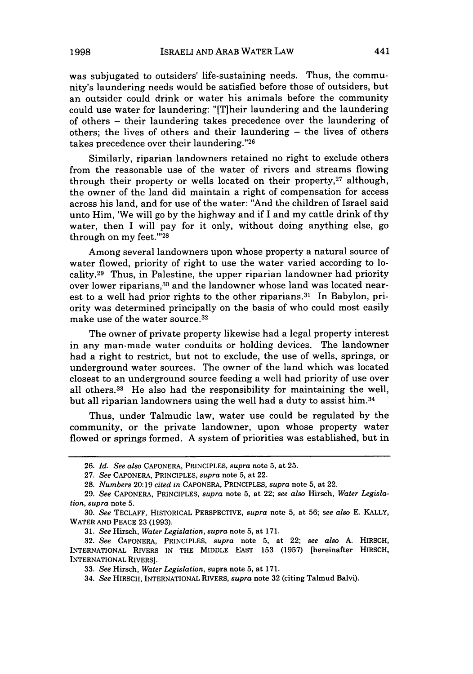was subjugated to outsiders' life-sustaining needs. Thus, the community's laundering needs would be satisfied before those of outsiders, but an outsider could drink or water his animals before the community could use water for laundering: "[T]heir laundering and the laundering of others - their laundering takes precedence over the laundering of others; the lives of others and their laundering - the lives of others takes precedence over their laundering."26

Similarly, riparian landowners retained no right to exclude others from the reasonable use of the water of rivers and streams flowing through their property or wells located on their property, $27$  although, the owner of the land did maintain a right of compensation for access across his land, and for use of the water: "And the children of Israel said unto Him, 'We will go by the highway and if I and my cattle drink of thy water, then I will pay for it only, without doing anything else, go through on my feet."'28

Among several landowners upon whose property a natural source of water flowed, priority of right to use the water varied according to locality.29 Thus, in Palestine, the upper riparian landowner had priority over lower riparians, 30 and the landowner whose land was located nearest to a well had prior rights to the other riparians. 31 In Babylon, priority was determined principally on the basis of who could most easily make use of the water source.<sup>32</sup>

The owner of private property likewise had a legal property interest in any man-made water conduits or holding devices. The landowner had a right to restrict, but not to exclude, the use of wells, springs, or underground water sources. The owner of the land which was located closest to an underground source feeding a well had priority of use over all others. 33 He also had the responsibility for maintaining the well, but all riparian landowners using the well had a duty to assist him. <sup>34</sup>

Thus, under Talmudic law, water use could be regulated by the community, or the private landowner, upon whose property water flowed or springs formed. A system of priorities was established, but in

31. *See* Hirsch, *Water Legislation, supra* note 5, at 171.

<sup>26.</sup> *Id. See also* CAPONERA, PRINCIPLES, *supra* note 5, at 25.

<sup>27.</sup> *See* CAPONERA, PRINCIPLES, *supra* note 5, at 22.

<sup>28.</sup> *Numbers* 20:19 *cited in* CAPONERA, PRINCIPLES, *supra* note 5, at 22.

<sup>29.</sup> *See* CAPONERA, PRINCIPLES, *supra* note 5, at 22; *see also* Hirsch, *Water Legislation, supra* note 5.

<sup>30.</sup> *See* TECLAFF, HISTORICAL PERSPECTIVE, *supra* note 5, at 56; *see also* E. KALLY, WATER AND PEACE 23 (1993).

<sup>32.</sup> *See* CAPONERA, PRINCIPLES, *supra* note 5, at 22; *see also* A. HIRSCH, INTERNATIONAL RIVERS IN THE MIDDLE EAST 153 (1957) [hereinafter HIRSCH, INTERNATIONAL RIVERS].

<sup>33.</sup> *See* Hirsch, *Water Legislation,* supra note 5, at 171.

<sup>34.</sup> *See* HIRSCH, INTERNATIONAL RIVERS, *supra* note 32 (citing Talmud Balvi).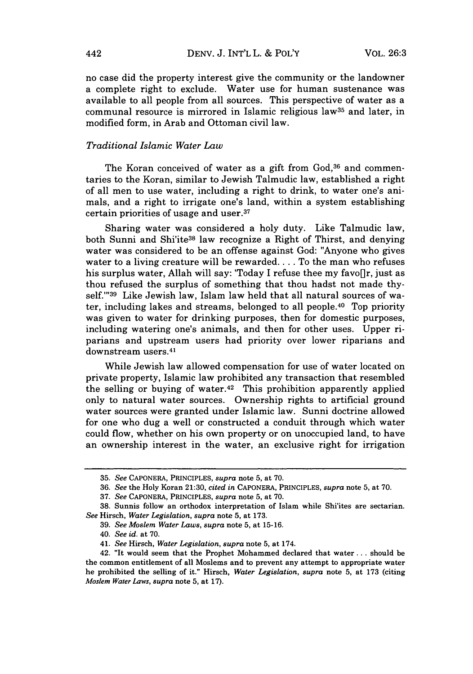no case did the property interest give the community or the landowner a complete right to exclude. Water use for human sustenance was available to all people from all sources. This perspective of water as a communal resource is mirrored in Islamic religious law35 and later, in modified form, in Arab and Ottoman civil law.

#### *Traditional Islamic Water Law*

The Koran conceived of water as a gift from God,<sup>36</sup> and commentaries to the Koran, similar to Jewish Talmudic law, established a right of all men to use water, including a right to drink, to water one's animals, and a right to irrigate one's land, within a system establishing certain priorities of usage and user.37

Sharing water was considered a holy duty. Like Talmudic law, both Sunni and Shi'ite38 law recognize a Right of Thirst, and denying water was considered to be an offense against God: "Anyone who gives water to a living creature will be rewarded.... To the man who refuses his surplus water, Allah will say: 'Today I refuse thee my favo[]r, just as thou refused the surplus of something that thou hadst not made thyself."'39 Like Jewish law, Islam law held that all natural sources of water, including lakes and streams, belonged to all people. 40 Top priority was given to water for drinking purposes, then for domestic purposes, including watering one's animals, and then for other uses. Upper riparians and upstream users had priority over lower riparians and downstream users.<sup>41</sup>

While Jewish law allowed compensation for use of water located on private property, Islamic law prohibited any transaction that resembled the selling or buying of water.42 This prohibition apparently applied only to natural water sources. Ownership rights to artificial ground water sources were granted under Islamic law. Sunni doctrine allowed for one who dug a well or constructed a conduit through which water could flow, whether on his own property or on unoccupied land, to have an ownership interest in the water, an exclusive right for irrigation

<sup>35.</sup> *See* CAPONERA, PRINCIPLES, *supra* note 5, at 70.

<sup>36.</sup> *See* the Holy Koran 21:30, *cited in* CAPONERA, PRINCIPLES, *supra* note 5, at 70.

<sup>37.</sup> *See* CAPONERA, PRINCIPLES, *supra* note 5, at 70.

<sup>38.</sup> Sunnis follow an orthodox interpretation of Islam while Shi'ites are sectarian. *See* Hirsch, *Water Legislation, supra* note 5, at 173.

<sup>39.</sup> *See Moslem Water Laws, supra* note 5, at 15-16.

<sup>40.</sup> *See id.* at 70.

<sup>41.</sup> *See* Hirsch, *Water Legislation, supra* note 5, at 174.

<sup>42. &</sup>quot;It would seem that the Prophet Mohammed declared that water.., should be the common entitlement of all Moslems and to prevent any attempt to appropriate water he prohibited the selling of it." Hirsch, *Water Legislation, supra* note 5, at 173 (citing *Moslem Water Laws, supra* note 5, at 17).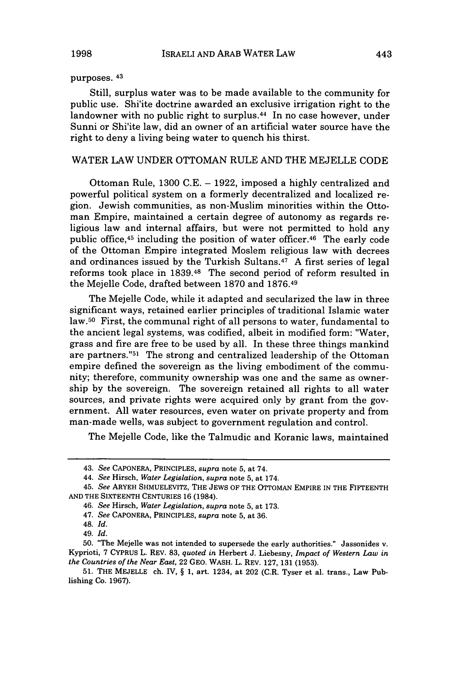#### purposes. 43

Still, surplus water was to be made available to the community for public use. Shi'ite doctrine awarded an exclusive irrigation right to the landowner with no public right to surplus.<sup>44</sup> In no case however, under Sunni or Shi'ite law, did an owner of an artificial water source have the right to deny a living being water to quench his thirst.

#### WATER LAW UNDER OTTOMAN RULE AND THE MEJELLE CODE

Ottoman Rule, 1300 C.E. - **1922,** imposed a highly centralized and powerful political system on a formerly decentralized and localized region. Jewish communities, as non-Muslim minorities within the Ottoman Empire, maintained a certain degree of autonomy as regards religious law and internal affairs, but were not permitted to hold any public office, 45 including the position of water officer. 46 The early code of the Ottoman Empire integrated Moslem religious law with decrees and ordinances issued by the Turkish Sultans. 47 A first series of legal reforms took place in 1839.48 The second period of reform resulted in the Mejelle Code, drafted between 1870 and 1876. <sup>49</sup>

The Mejelle Code, while it adapted and secularized the law in three significant ways, retained earlier principles of traditional Islamic water law.50 First, the communal right of all persons to water, fundamental to the ancient legal systems, was codified, albeit in modified form: "Water, grass and fire are free to be used by all. In these three things mankind are partners."<sup>51</sup> The strong and centralized leadership of the Ottoman empire defined the sovereign as the living embodiment of the community; therefore, community ownership was one and the same as ownership by the sovereign. The sovereign retained all rights to all water sources, and private rights were acquired only by grant from the government. All water resources, even water on private property and from man-made wells, was subject to government regulation and control.

The Mejelle Code, like the Talmudic and Koranic laws, maintained

<sup>43.</sup> *See* CAPONERA, PRINCIPLES, *supra* note **5,** at 74.

<sup>44.</sup> *See* Hirsch, *Water Legislation, supra* note 5, at 174.

<sup>45.</sup> *See* ARYEH SHMUELEVITZ, THE JEWS OF THE OTrOMAN EMPIRE IN THE FIFTEENTH AND THE SIXTEENTH CENTURIES 16 (1984).

<sup>46.</sup> *See* Hirsch, *Water Legislation, supra* note 5, at 173.

<sup>47.</sup> *See* CAPONERA, PRINCIPLES, *supra* note 5, at 36.

<sup>48.</sup> *Id.*

<sup>49.</sup> *Id.*

<sup>50. &</sup>quot;The Mejelle was not intended to supersede the early authorities." Jassonides v. Kyprioti, 7 CYPRUS L. REV. 83, *quoted in* Herbert J. Liebesny, *Impact of Western Law in the Countries of the Near East,* 22 GEO. WASH. L. REV. 127, 131 (1953).

<sup>51.</sup> THE MEJELLE ch. IV, § 1, art. 1234, at 202 (C.R. Tyser et al. trans., Law Publishing Co. 1967).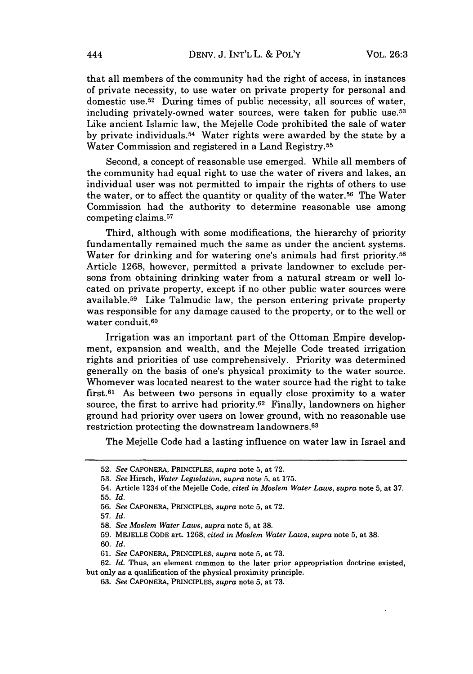that all members of the community had the right of access, in instances of private necessity, to use water on private property for personal and domestic use. $52$  During times of public necessity, all sources of water, including privately-owned water sources, were taken for public use.<sup>53</sup> Like ancient Islamic law, the Mejelle Code prohibited the sale of water by private individuals. 54 Water rights were awarded by the state by a Water Commission and registered in a Land Registry. <sup>55</sup>

Second, a concept of reasonable use emerged. While all members of the community had equal right to use the water of rivers and lakes, an individual user was not permitted to impair the rights of others to use the water, or to affect the quantity or quality of the water.<sup>56</sup> The Water Commission had the authority to determine reasonable use among competing claims. <sup>57</sup>

Third, although with some modifications, the hierarchy of priority fundamentally remained much the same as under the ancient systems. Water for drinking and for watering one's animals had first priority.<sup>58</sup> Article 1268, however, permitted a private landowner to exclude persons from obtaining drinking water from a natural stream or well located on private property, except if no other public water sources were available.<sup>59</sup> Like Talmudic law, the person entering private property was responsible for any damage caused to the property, or to the well or water conduit.<sup>60</sup>

Irrigation was an important part of the Ottoman Empire development, expansion and wealth, and the Mejelle Code treated irrigation rights and priorities of use comprehensively. Priority was determined generally on the basis of one's physical proximity to the water source. Whomever was located nearest to the water source had the right to take first.61 As between two persons in equally close proximity to a water source, the first to arrive had priority. 62 Finally, landowners on higher ground had priority over users on lower ground, with no reasonable use restriction protecting the downstream landowners. <sup>63</sup>

The Mejelle Code had a lasting influence on water law in Israel and

**60.** *Id.*

<sup>52.</sup> *See* CAPONERA, PRINCIPLES, *supra* note 5, at 72.

<sup>53.</sup> *See* Hirsch, *Water Legislation, supra* note 5, at 175.

<sup>54.</sup> Article 1234 of the Mejelle Code, *cited in Moslem Water Laws, supra* note 5, at 37. **55.** *Id.*

<sup>56.</sup> *See* CAPONERA, PRINCIPLES, *supra* note 5, at 72.

<sup>57.</sup> *Id.*

<sup>58.</sup> *See Moslem Water Laws, supra* note 5, at 38.

<sup>59.</sup> MEJELLE CODE art. 1268, *cited in Moslem Water Laws, supra* note 5, at 38.

<sup>61.</sup> *See* CAPONERA, PRINCIPLES, *supra* note 5, at 73.

<sup>62.</sup> *Id.* Thus, an element common to the later prior appropriation doctrine existed, but only as a qualification of the physical proximity principle.

<sup>63.</sup> *See* CAPONERA, PRINCIPLES, *supra* note 5, at 73.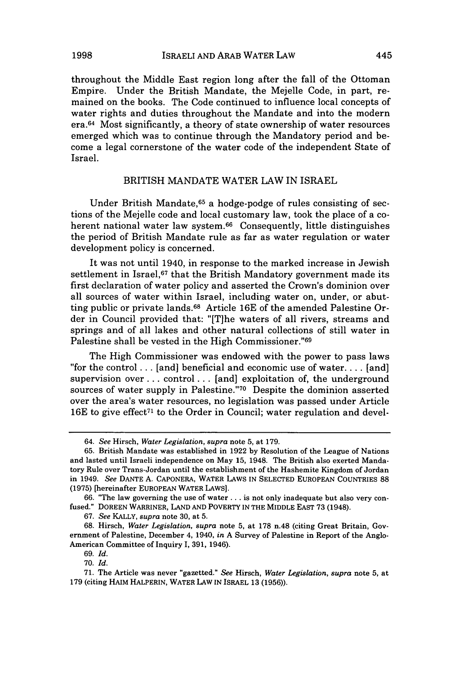throughout the Middle East region long after the fall of the Ottoman Empire. Under the British Mandate, the Mejelle Code, in part, remained on the books. The Code continued to influence local concepts of water rights and duties throughout the Mandate and into the modern era. 64 Most significantly, a theory of state ownership of water resources emerged which was to continue through the Mandatory period and become a legal cornerstone of the water code of the independent State of Israel.

#### BRITISH MANDATE WATER LAW IN ISRAEL

Under British Mandate,<sup>65</sup> a hodge-podge of rules consisting of sections of the Mejelle code and local customary law, took the place of a coherent national water law system.<sup>66</sup> Consequently, little distinguishes the period of British Mandate rule as far as water regulation or water development policy is concerned.

It was not until 1940, in response to the marked increase in Jewish settlement in Israel,<sup>67</sup> that the British Mandatory government made its first declaration of water policy and asserted the Crown's dominion over all sources of water within Israel, including water on, under, or abutting public or private lands.68 Article 16E of the amended Palestine Order in Council provided that: "[T]he waters of all rivers, streams and springs and of all lakes and other natural collections of still water in Palestine shall be vested in the High Commissioner."<sup>69</sup>

The High Commissioner was endowed with the power to pass laws "for the control **...** [and] beneficial and economic use of water **....** [and] supervision over.., control... [and] exploitation of, the underground sources of water supply in Palestine."70 Despite the dominion asserted over the area's water resources, no legislation was passed under Article 16E to give effect<sup> $71$ </sup> to the Order in Council; water regulation and devel-

<sup>64.</sup> *See* Hirsch, *Water Legislation, supra* note 5, at 179.

<sup>65.</sup> British Mandate was established in 1922 by Resolution of the League of Nations and lasted until Israeli independence on May 15, 1948. The British also exerted Mandatory Rule over Trans-Jordan until the establishment of the Hashemite Kingdom of Jordan in 1949. *See* DANTE A. CAPONERA, WATER LAWS **IN** SELECTED EUROPEAN COUNTRIES 88 (1975) [hereinafter EUROPEAN WATER LAWS].

<sup>66. &</sup>quot;The law governing the use of water **...** is not only inadequate but also very confused." DOREEN WARRINER, LAND AND POVERTY IN THE MIDDLE EAST 73 (1948).

<sup>67.</sup> *See* KALLY, *supra* note 30, at 5.

<sup>68.</sup> Hirsch, *Water Legislation, supra* note 5, at 178 n.48 (citing Great Britain, Government of Palestine, December 4, 1940, *in* A Survey of Palestine in Report of the Anglo-American Committee of Inquiry I, 391, 1946).

<sup>69.</sup> *Id.*

<sup>70.</sup> *Id.*

<sup>71.</sup> The Article was never "gazetted." *See* Hirsch, *Water Legislation, supra* note 5, at 179 (citing HAIM HALPERIN, WATER LAW IN ISRAEL 13 (1956)).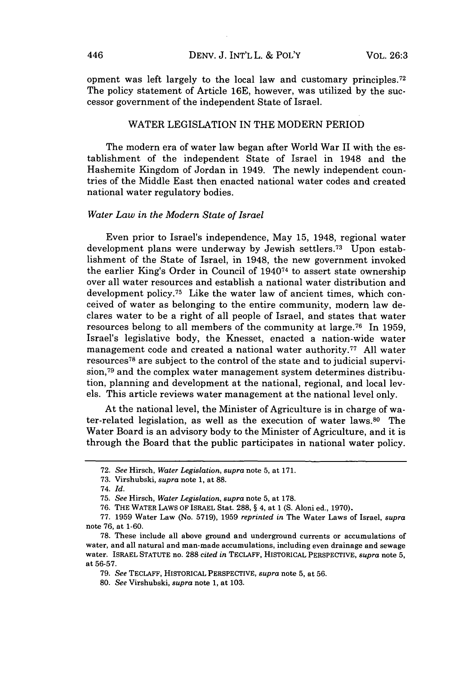opment was left largely to the local law and customary principles.<sup>72</sup> The policy statement of Article 16E, however, was utilized by the successor government of the independent State of Israel.

#### WATER LEGISLATION IN THE MODERN PERIOD

The modern era of water law began after World War II with the establishment of the independent State of Israel in 1948 and the Hashemite Kingdom of Jordan in 1949. The newly independent countries of the Middle East then enacted national water codes and created national water regulatory bodies.

#### *Water Law in the Modern State of Israel*

Even prior to Israel's independence, May 15, 1948, regional water development plans were underway by Jewish settlers.<sup>73</sup> Upon establishment of the State of Israel, in 1948, the new government invoked the earlier King's Order in Council of 194074 to assert state ownership over all water resources and establish a national water distribution and development policy.<sup>75</sup> Like the water law of ancient times, which conceived of water as belonging to the entire community, modern law declares water to be a right of all people of Israel, and states that water resources belong to all members of the community at large. 76 In 1959, Israel's legislative body, the Knesset, enacted a nation-wide water management code and created a national water authority.<sup>77</sup> All water resources 78 are subject to the control of the state and to judicial supervision,79 and the complex water management system determines distribution, planning and development at the national, regional, and local levels. This article reviews water management at the national level only.

At the national level, the Minister of Agriculture is in charge of water-related legislation, as well as the execution of water laws.<sup>80</sup> The Water Board is an advisory body to the Minister of Agriculture, and it is through the Board that the public participates in national water policy.

<sup>72.</sup> *See* Hirsch, *Water Legislation, supra* note 5, at 171.

<sup>73.</sup> Virshubski, *supra* note 1, at 88.

<sup>74.</sup> *Id.*

<sup>75.</sup> *See* Hirsch, *Water Legislation, supra* note 5, at 178.

<sup>76.</sup> THE WATER LAws OF ISRAEL Stat. 288, § 4, at 1 (S. Aloni ed., 1970).

<sup>77. 1959</sup> Water Law (No. 5719), 1959 *reprinted in* The Water Laws of Israel, *supra* note 76, at 1-60.

<sup>78.</sup> These include all above ground and underground currents or accumulations of water, and all natural and man-made accumulations, including even drainage and sewage water. ISRAEL STATUTE no. 288 *cited in* TECLAFF, HISTORICAL PERSPECTIVE, *supra* note 5, at 56-57.

<sup>79.</sup> *See* TECLAFF, HISTORICAL PERSPECTIVE, *supra* note 5, at **56.**

<sup>80.</sup> *See* Virshubski, *supra* note 1, at 103.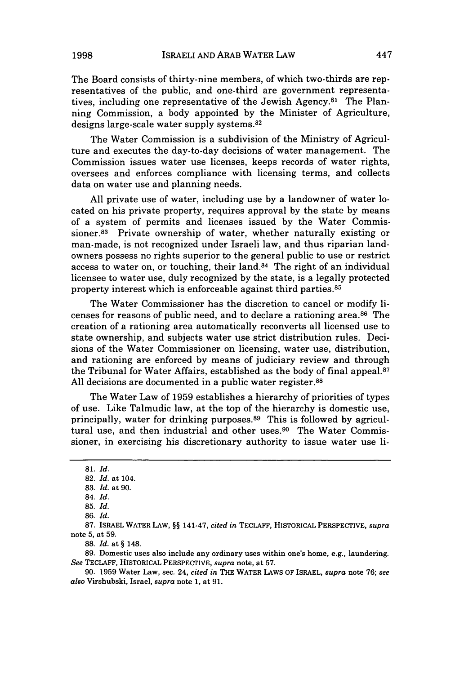The Board consists of thirty-nine members, of which two-thirds are representatives of the public, and one-third are government representatives, including one representative of the Jewish Agency.81 The Planning Commission, a body appointed by the Minister of Agriculture, designs large-scale water supply systems.<sup>82</sup>

The Water Commission is a subdivision of the Ministry of Agriculture and executes the day-to-day decisions of water management. The Commission issues water use licenses, keeps records of water rights, oversees and enforces compliance with licensing terms, and collects data on water use and planning needs.

All private use of water, including use by a landowner of water located on his private property, requires approval by the state by means of a system of permits and licenses issued by the Water Commissioner.83 Private ownership of water, whether naturally existing or man-made, is not recognized under Israeli law, and thus riparian landowners possess no rights superior to the general public to use or restrict access to water on, or touching, their land.84 The right of an individual licensee to water use, duly recognized by the state, is a legally protected property interest which is enforceable against third parties.<sup>85</sup>

The Water Commissioner has the discretion to cancel or modify licenses for reasons of public need, and to declare a rationing area.<sup>86</sup> The creation of a rationing area automatically reconverts all licensed use to state ownership, and subjects water use strict distribution rules. Decisions of the Water Commissioner on licensing, water use, distribution, and rationing are enforced by means of judiciary review and through the Tribunal for Water Affairs, established as the body of final appeal. $87$ All decisions are documented in a public water register.<sup>88</sup>

The Water Law of 1959 establishes a hierarchy of priorities of types of use. Like Talmudic law, at the top of the hierarchy is domestic use, principally, water for drinking purposes.<sup>89</sup> This is followed by agricultural use, and then industrial and other uses.<sup>90</sup> The Water Commissioner, in exercising his discretionary authority to issue water use li-

**88.** *Id.* at § 148.

89. Domestic uses also include any ordinary uses within one's home, e.g., laundering. *See* TECLAFF, HISTORICAL PERSPECTIVE, *supra* note, at 57.

90. 1959 Water Law, sec. 24, *cited in* THE WATER LAWS OF ISRAEL, *supra* note 76; *see also* Virshubski, Israel, *supra* note 1, at 91.

<sup>81.</sup> *Id.*

<sup>82.</sup> *Id.* at 104.

<sup>83.</sup> *Id.* at 90.

<sup>84.</sup> *Id.*

<sup>85.</sup> *Id.*

<sup>86.</sup> *Id.*

<sup>87.</sup> ISRAEL WATER LAW, §§ 141-47, *cited in* TECLAFF, HISTORICAL PERSPECTIVE, *supra* note 5, at 59.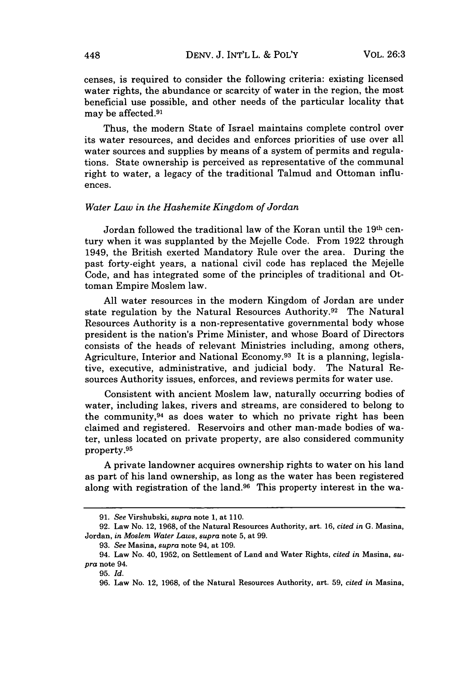censes, is required to consider the following criteria: existing licensed water rights, the abundance or scarcity of water in the region, the most beneficial use possible, and other needs of the particular locality that may be affected. <sup>91</sup>

Thus, the modern State of Israel maintains complete control over its water resources, and decides and enforces priorities of use over all water sources and supplies by means of a system of permits and regulations. State ownership is perceived as representative of the communal right to water, a legacy of the traditional Talmud and Ottoman influences.

#### *Water Law in the Hashemite Kingdom of Jordan*

Jordan followed the traditional law of the Koran until the 19th century when it was supplanted by the Mejelle Code. From 1922 through 1949, the British exerted Mandatory Rule over the area. During the past forty-eight years, a national civil code has replaced the Mejelle Code, and has integrated some of the principles of traditional and Ottoman Empire Moslem law.

All water resources in the modern Kingdom of Jordan are under state regulation by the Natural Resources Authority.<sup>92</sup> The Natural Resources Authority is a non-representative governmental body whose president is the nation's Prime Minister, and whose Board of Directors consists of the heads of relevant Ministries including, among others, Agriculture, Interior and National Economy.93 It is a planning, legislative, executive, administrative, and judicial body. The Natural Resources Authority issues, enforces, and reviews permits for water use.

Consistent with ancient Moslem law, naturally occurring bodies of water, including lakes, rivers and streams, are considered to belong to the community, 94 as does water to which no private right has been claimed and registered. Reservoirs and other man-made bodies of water, unless located on private property, are also considered community property. <sup>95</sup>

A private landowner acquires ownership rights to water on his land as part of his land ownership, as long as the water has been registered along with registration of the land.96 This property interest in the wa-

<sup>91.</sup> *See* Virshubski, *supra* note 1, at 110.

<sup>92.</sup> Law No. 12, 1968, of the Natural Resources Authority, art. 16, *cited in* G. Masina, Jordan, *in Moslem Water Laws, supra* note 5, at 99.

<sup>93.</sup> *See* Masina, *supra* note 94, at 109.

<sup>94.</sup> Law No. 40, 1952, on Settlement of Land and Water Rights, *cited in* Masina, *supra* note 94.

<sup>95.</sup> *Id.*

<sup>96.</sup> Law No. 12, 1968, of the Natural Resources Authority, art. 59, *cited in* Masina,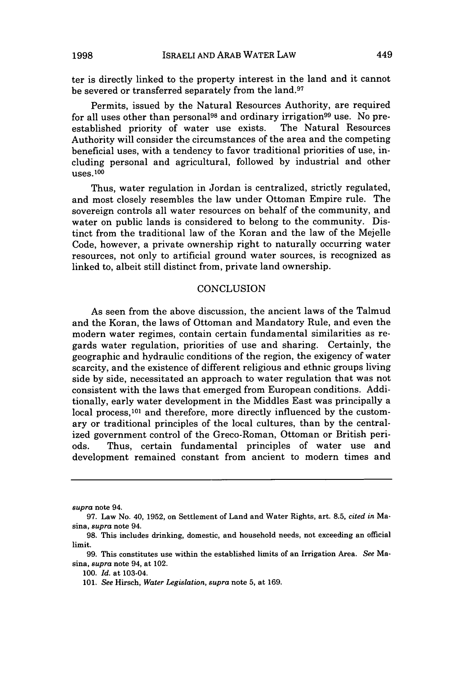ter is directly linked to the property interest in the land and it cannot be severed or transferred separately from the land.<sup>97</sup>

Permits, issued by the Natural Resources Authority, are required for all uses other than personal<sup>98</sup> and ordinary irrigation<sup>99</sup> use. No pre-<br>established priority of water use exists. The Natural Resources established priority of water use exists. Authority will consider the circumstances of the area and the competing beneficial uses, with a tendency to favor traditional priorities of use, including personal and agricultural, followed by industrial and other uses. <sup>100</sup>

Thus, water regulation in Jordan is centralized, strictly regulated, and most closely resembles the law under Ottoman Empire rule. The sovereign controls all water resources on behalf of the community, and water on public lands is considered to belong to the community. Distinct from the traditional law of the Koran and the law of the Mejelle Code, however, a private ownership right to naturally occurring water resources, not only to artificial ground water sources, is recognized as linked to, albeit still distinct from, private land ownership.

#### **CONCLUSION**

As seen from the above discussion, the ancient laws of the Talmud and the Koran, the laws of Ottoman and Mandatory Rule, and even the modern water regimes, contain certain fundamental similarities as regards water regulation, priorities of use and sharing. Certainly, the geographic and hydraulic conditions of the region, the exigency of water scarcity, and the existence of different religious and ethnic groups living side by side, necessitated an approach to water regulation that was not consistent with the laws that emerged from European conditions. Additionally, early water development in the Middles East was principally a local process,  $101$  and therefore, more directly influenced by the customary or traditional principles of the local cultures, than by the centralized government control of the Greco-Roman, Ottoman or British periods. Thus, certain fundamental principles of water use and development remained constant from ancient to modern times and

*supra* note 94.

<sup>97.</sup> Law No. 40, 1952, on Settlement of Land and Water Rights, art. 8.5, *cited in* Masina, *supra* note 94.

<sup>98.</sup> This includes drinking, domestic, and household needs, not exceeding an official limit.

<sup>99.</sup> This constitutes use within the established limits of an Irrigation Area. *See* Masina, *supra* note 94, at 102.

<sup>100.</sup> *Id.* at 103-04.

<sup>101.</sup> *See* Hirsch, *Water Legislation, supra* note 5, at 169.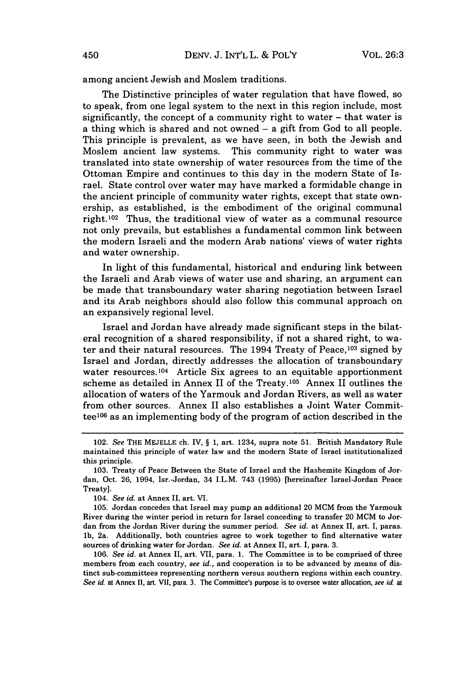among ancient Jewish and Moslem traditions.

The Distinctive principles of water regulation that have flowed, so to speak, from one legal system to the next in this region include, most significantly, the concept of a community right to water - that water is a thing which is shared and not owned - a gift from God to all people. This principle is prevalent, as we have seen, in both the Jewish and Moslem ancient law systems. This community right to water was translated into state ownership of water resources from the time of the Ottoman Empire and continues to this day in the modern State of Israel. State control over water may have marked a formidable change in the ancient principle of community water rights, except that state ownership, as established, is the embodiment of the original communal right.102 Thus, the traditional view of water as a communal resource not only prevails, but establishes a fundamental common link between the modern Israeli and the modern Arab nations' views of water rights and water ownership.

In light of this fundamental, historical and enduring link between the Israeli and Arab views of water use and sharing, an argument can be made that transboundary water sharing negotiation between Israel and its Arab neighbors should also follow this communal approach on an expansively regional level.

Israel and Jordan have already made significant steps in the bilateral recognition of a shared responsibility, if not a shared right, to water and their natural resources. The 1994 Treaty of Peace, 103 signed by Israel and Jordan, directly addresses the allocation of transboundary water resources.<sup>104</sup> Article Six agrees to an equitable apportionment scheme as detailed in Annex II of the Treaty.<sup>105</sup> Annex II outlines the allocation of waters of the Yarmouk and Jordan Rivers, as well as water from other sources. Annex II also establishes a Joint Water Committee $106$  as an implementing body of the program of action described in the

104. *See id.* at Annex II, art. VI.

105. Jordan concedes that Israel may pump an additional 20 MCM from the Yarmouk River during the winter period in return for Israel conceding to transfer 20 MCM to Jordan from the Jordan River during the summer period. *See id.* at Annex II, art. I, paras. **1b,** 2a. Additionally, both countries agree to work together to find alternative water sources of drinking water for Jordan. *See id.* at Annex II, art. I, para. 3.

106. *See id.* at Annex II, art. VII, para. 1. The Committee is to be comprised of three members from each country, *see id.,* and cooperation is to be advanced by means of distinct sub-committees representing northern versus southern regions within each country. *See id.* at Annex **II,** art. VII, para. **3.** The Committee's purpose is to oversee water allocation, *see id.* at

<sup>102.</sup> *See* THE MEJELLE ch. IV, § 1, art. 1234, supra note 51. British Mandatory Rule maintained this principle of water law and the modern State of Israel institutionalized this principle.

<sup>103.</sup> Treaty of Peace Between the State of Israel and the Hashemite Kingdom of Jordan, Oct. 26, 1994, Isr.-Jordan, 34 I.L.M. 743 (1995) [hereinafter Israel-Jordan Peace Treaty].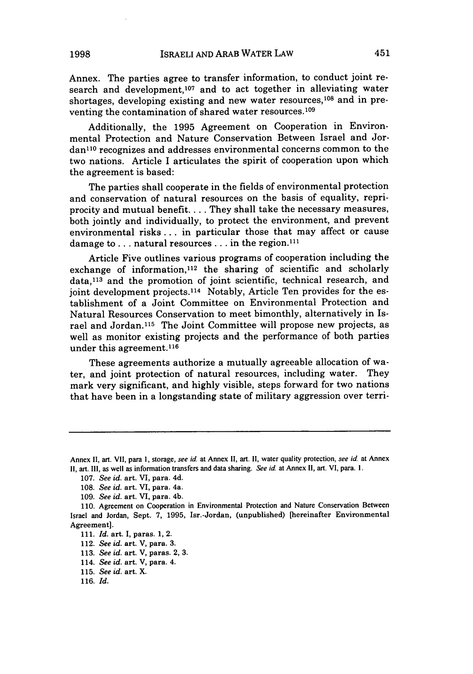Annex. The parties agree to transfer information, to conduct joint research and development,<sup>107</sup> and to act together in alleviating water shortages, developing existing and new water resources,<sup>108</sup> and in preventing the contamination of shared water resources.<sup>109</sup>

Additionally, the 1995 Agreement on Cooperation in Environmental Protection and Nature Conservation Between Israel and Jordan<sup>110</sup> recognizes and addresses environmental concerns common to the two nations. Article I articulates the spirit of cooperation upon which the agreement is based:

The parties shall cooperate in the fields of environmental protection and conservation of natural resources on the basis of equality, repriprocity and mutual benefit.... They shall take the necessary measures, both jointly and individually, to protect the environment, and prevent environmental risks... in particular those that may affect or cause damage to . . . natural resources . . . in the region.<sup>111</sup>

Article Five outlines various programs of cooperation including the exchange of information, 112 the sharing of scientific and scholarly data, 113 and the promotion of joint scientific, technical research, and joint development projects.<sup>114</sup> Notably, Article Ten provides for the establishment of a Joint Committee on Environmental Protection and Natural Resources Conservation to meet bimonthly, alternatively in Israel and Jordan.115 The Joint Committee will propose new projects, as well as monitor existing projects and the performance of both parties under this agreement.<sup>116</sup>

These agreements authorize a mutually agreeable allocation of water, and joint protection of natural resources, including water. They mark very significant, and highly visible, steps forward for two nations that have been in a longstanding state of military aggression over terri-

- 113. *See id.* art. V, paras. 2, 3.
- 114. *See id.* art. V, para. 4.
- 115. *See id.* art. X.

Annex **1I,** art. VII, para **1,** storage, see *id.* at Annex **II,** art. **II,** water quality protection, *see id* at Annex **II,** art. **I1,** as well as information transfers and data sharing. *See id* at Annex **I1,** art. VI, para. I.

<sup>107.</sup> *See id.* art. VI, para. 4d.

<sup>108.</sup> *See id.* art. VI, para. 4a.

<sup>109.</sup> *See id.* art. VI, para. 4b.

<sup>110.</sup> Agreement on Cooperation in Environmental Protection and Nature Conservation Between Israel and Jordan, Sept. 7, **1995,** Isr.-Jordan, (unpublished) [hereinafter Environmental Agreement].

<sup>111.</sup> *Id.* art. I, paras. 1, 2.

<sup>112.</sup> *See id.* art. V, para. 3.

<sup>116.</sup> *Id.*